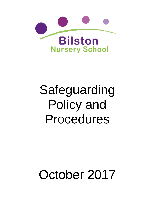

# Safeguarding Policy and Procedures

# October 2017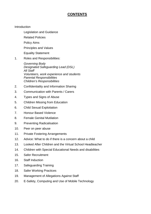# **CONTENTS**

#### Introduction

- Legislation and Guidance
- Related Policies
- Policy Aims
- Principles and Values
- Equality Statement
- 1. Roles and Responsibilities:

*Governing Body Designated Safeguarding Lead (DSL) All Staff Volunteers, work experience and students Parental Responsibilities Children's Responsibilities*

- 2. Confidentiality and Information Sharing
- 3. Communication with Parents / Carers
- 4. Types and Signs of Abuse
- 5. Children Missing from Education
- 6. Child Sexual Exploitation
- 7. Honour Based Violence
- 8. Female Genital Mutilation
- 9. Preventing Radicalisation
- 10. Peer on peer abuse
- 11. Private Fostering Arrangements
- 12. Advice: What to do if there is a concern about a child
- 13. Looked After Children and the Virtual School Headteacher
- 14. Children with Special Educational Needs and disabilities
- 15. Safer Recruitment
- 16. Staff Induction
- 17. Safeguarding Training
- 18. Safer Working Practices
- 19. Management of Allegations Against Staff
- 20. E-Safety, Computing and Use of Mobile Technology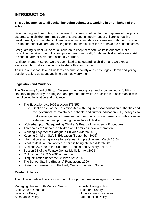# **INTRODUCTION**

#### **This policy applies to all adults, including volunteers, working in or on behalf of the school.**

Safeguarding and promoting the welfare of children is defined for the purposes of this policy as: protecting children from maltreatment; preventing impairment of children's health or development; ensuring that children grow up in circumstances consistent with the provision of safe and effective care; and taking action to enable all children to have the best outcomes.

Safeguarding is what we do for all children to keep them safe whilst in our care. Child protection describes the policy and procedures specifically for those children who are at risk of serious harm or have been seriously harmed.

At Bilston Nursery School we are committed to safeguarding children and we expect everyone who works in our school to share this commitment.

Adults in our school take all welfare concerns seriously and encourage children and young people to talk to us about anything that may worry them.

## **Legislation and Guidance**

The Governing Board of Bilston Nursery school recognises and is committed to fulfilling its statutory responsibility to safeguard and promote the welfare of children in accordance with the following legislation and guidance:

- [The Education Act 2002](http://www.legislation.gov.uk/ukpga/2002/32/contents) (section 175/157)
	- o [Section 175 of the Education Act 2002](http://www.opsi.gov.uk/ACTS/acts2002/ukpga_20020032_en_15) requires local education authorities and the governors of maintained schools and further education (FE) colleges to make arrangements to ensure that their functions are carried out with a view to safeguarding and promoting the welfare of children.
- [Wolverhampton Safeguarding Children's Board -](http://sandwelllscb.proceduresonline.com/index.html) Inter Agency Procedures
- Thresholds of Support to Children and Families in Wolverhampton
- [Working Together to Safeguard Children](https://www.gov.uk/government/publications/working-together-to-safeguard-children--2) (March 2015)
- [Keeping Children Safe in Education](https://www.gov.uk/government/publications/keeping-children-safe-in-education--2) (September 2016)
- [Information sharing advice for safeguarding practitioners](https://www.gov.uk/government/publications/safeguarding-practitioners-information-sharing-advice) (March 2015)
- What to do if you are worried a child is being abused (March 2015)
- [Sections 26 & 29 of the Counter-Terrorism and Security Act 2015](http://www.legislation.gov.uk/ukpga/2015/6/section/26/enacted)
- [Section 5B of the Female Genital Mutilation Act 2003](http://www.legislation.gov.uk/ukpga/2015/9/part/5/crossheading/female-genital-mutilation/enacted)
- Children Act 1989 & 2004 amendment
- Disqualification under the Children Act 2006
- The School Staffing (England) Regulations 2009
- Statutory Framework for the Early Years Foundation Stage

#### **Related Policies**

The following related policies form part of our procedures to safeguard children:

Managing children with Medical Needs Whistleblowing Policy Staff Code of Conduct **Health and Safety** Behaviour Policy **Intimate Care Procedures** Attendance Policy **National Staff Induction Policy** Staff Induction Policy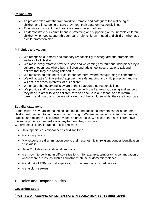# **Policy Aims**

- To provide Staff with the framework to promote and safeguard the wellbeing of children and in so doing ensure they meet their statutory responsibilities;
- To ensure consistent good practice across the school; and
- To demonstrate our commitment to protecting and supporting our vulnerable children, children who need support through early help, children in need and children who have a child protection plan.

# **Principles and values**

- We recognise our moral and statutory responsibility to safeguard and promote the welfare of all children.
- We make every effort to provide a safe and welcoming environment underpinned by a culture of openness where both children and adults feel secure, able to talk and believe that they are being listened to.
- We maintain an attitude of "it could happen here" where safeguarding is concerned.
- We will adopt a 'child-centred' approach to safeguarding and child protection and we will act in the 'best interests' of our children
- We ensure that everyone is aware of their safeguarding responsibilities
- We provide staff, volunteers and governors with the framework, training and support they need in order to keep children safe and secure in our school and to inform parents and guardians how we will safeguard their children whilst they are in our care.

# **Equality statement**

Some children have an increased risk of abuse, and additional barriers can exist for some children with respect to recognising or disclosing it. We are committed to anti-discriminatory practice and recognise children's diverse circumstances. We ensure that all children have the same protection, regardless of any barriers they may face. We give special consideration to children who:

- Have special educational needs or disabilities
- Are young carers
- May experience discrimination due to their race, ethnicity, religion, gender identification or sexuality
- Have English as an additional language
- Are known to be living in difficult situations for example, temporary accommodation or where there are issues such as substance abuse or domestic violence
- Are at risk of FGM, sexual exploitation, forced marriage, or radicalisation
- Are asylum seekers

# **1. Roles and Responsibilities**

# **Governing Board**

# **(PART TWO - KEEPING CHILDREN SAFE IN EDUCATION SEPTEMBER 2016)**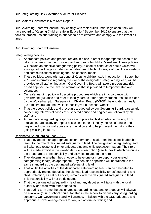Our Safeguarding Link Governor is Mr Peter Prescott

Our Chair of Governors is Mrs Kath Rogers

Our Governing Board will ensure they comply with their duties under legislation, they will have regard to 'Keeping Children safe in Education' September 2016 to ensure that the policies, procedures and training in our schools are effective and comply with the law at all times

Our Governing Board will ensure:

# Safeguarding policies:

- Appropriate policies and procedures are in place in order for appropriate action to be taken in a timely manner to safeguard and promote children's welfare. These policies will include an effective safeguarding policy, a code of conduct for adults which will amongst other things include - acceptable use of technologies, staff/pupil relationships and communications including the use of social media;
- These policies, along with part one of Keeping children safe in education September 2016 and information regarding the role of the designated safeguarding lead, will be provided to all staff on induction. Our Governing Board will take a proportional risk based approach to the level of information that is provided to temporary staff and volunteers;
- Our safeguarding policy will describe procedures which are in accordance with government guidance and refer to locally agreed inter-agency procedures put in place by the Wolverhampton Safeguarding Children Board (WSCB), be updated annually (as a minimum), and be available publicly via our school website;
- That the above policies and procedures, adopted by our Governing Board, particularly concerning referrals of cases of suspected abuse and neglect, are followed by all staff; and
- Appropriate safeguarding responses are in place to children who go missing from education, particularly on repeat occasions, to help identify the risk of abuse and neglect including sexual abuse or exploitation and to help prevent the risks of their going missing in future.

# Designated Safeguarding Lead (DSL):

- That they appoint an appropriate senior member of staff, from the school leadership team, to the role of designated safeguarding lead. The designated safeguarding lead will take lead responsibility for safeguarding and child protection matters. Their role will be made explicit in the role-holder's job description (see Annex B which describes the broad areas of responsibility and activities related to the role);
- They determine whether they choose to have one or more deputy designated safeguarding lead(s) as appropriate. Any deputies appointed will be trained to the same standard as the designated safeguarding lead;
- That whilst the activities of the designated safeguarding lead can be delegated to appropriately trained deputies, the ultimate lead responsibility for safeguarding and child protection, as set out above, remains with the designated safeguarding lead. This responsibility will not be delegated;
- That the designated safeguarding lead and any deputies will liaise with the local authority and work with other agencies;
- That during term time the designated safeguarding lead and or a deputy will always be available (during school hours) for staff in the school to discuss any safeguarding concerns. Our Governing Board will arrange, in liaison with the DSL, adequate and appropriate cover arrangements for any out of term activities; and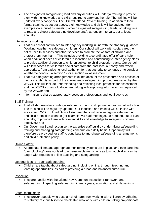• The designated safeguarding lead and any deputies will undergo training to provide them with the knowledge and skills required to carry out the role. The training will be updated every two years. The DSL will attend Prevent training. In addition to their formal training, as set out above, their knowledge and skills will be updated, (for example via e-bulletins, meeting other designated safeguarding leads, or taking time to read and digest safeguarding developments), at regular intervals, but at least annually.

# Inter-agency working:

- That our school contributes to inter-agency working in line with the statutory guidance 'Working together to safeguard children'. Our school will work with social care, the police, health services and other services to promote the welfare of children and protect them from harm. This includes providing a co-ordinated offer of early help when additional needs of children are identified and contributing to inter-agency plans to provide additional support to children subject to child protection plans. Our school will allow access for children's social care from the host local authority and, where appropriate, from a placing local authority, for that authority to conduct, or to consider whether to conduct, a section 17 or a section 47 assessment;
- That our safeguarding arrangements take into account the procedures and practice of the local authority as part of the inter-agency safeguarding procedures set up by the WSCB. This will include understanding and reflecting local protocols for assessment and the WSCB's threshold document along with supplying information as requested by the WSCB; and
- Information is shared appropriately between professionals and local agencies.

# Staff Training:

- That all staff members undergo safeguarding and child protection training at induction. The training will be regularly updated. Our induction and training will be in line with advice from WSCB. In addition all staff members will receive regular safeguarding and child protection updates (for example, via staff meetings), as required, but at least annually, to provide them with relevant skills and knowledge to safeguard children effectively; and
- Our Governing Board recognise the expertise staff build by undertaking safeguarding training and managing safeguarding concerns on a daily basis. Opportunity will therefore be provided for staff to contribute to and shape safeguarding arrangements and child protection policy.

# Online Safety:

• Appropriate filters and appropriate monitoring systems are in place and take care that "over blocking" does not lead to unreasonable restrictions as to what children can be taught with regards to online teaching and safeguarding.

# Opportunities to Teach Safeguarding:

• Children are taught about safeguarding, including online, through teaching and learning opportunities, as part of providing a broad and balanced curriculum.

# Inspection

• They are familiar with the Ofsted New Common Inspection Framework and safeguarding: Inspecting safeguarding in early years, education and skills settings.

# Safer Recruitment:

• They prevent people who pose a risk of harm from working with children by adhering to statutory responsibilities to check staff who work with children*,* taking proportionate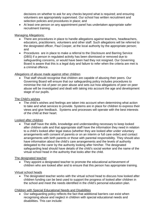decisions on whether to ask for any checks beyond what is required; and ensuring volunteers are appropriately supervised. Our school has written recruitment and selection policies and procedures in place; and

• At least one person on any appointment panel has undertaken appropriate safer recruitment training.

## Managing Allegations:

- There are procedures in place to handle allegations against teachers, headteachers, educators, practitioners, volunteers and other staff. Such allegations will be referred to the designated officer, Paul Cooper, at the local authority by the appropriate person; and
- Procedures are in place to make a referral to the Disclosure and Barring Service (DBS) if a person in regulated activity has been dismissed or removed due to safeguarding concerns, or would have been had they not resigned. Our Governing Board is aware that this is a legal duty and failure to refer when the criteria are met is a criminal offence.

## Allegations of abuse made against other children

• That staff should recognise that children are capable of abusing their peers. Our Governing Board will ensure that our safeguarding policy includes procedures to minimise the risk of peer on peer abuse and sets out how allegations of peer on peer abuse will be investigated and dealt with taking into account the age and development stage of our pupils.

## The Child's wishes

• The child's wishes and feelings are taken into account when determining what action to take and what services to provide. Systems are in place for children to express their views and give feedback. Systems and processes will operate with the best interests of the child at their heart.

# Looked after children

• That staff have the skills, knowledge and understanding necessary to keep looked after children safe and that appropriate staff have the information they need in relation to a child's looked after legal status (whether they are looked after under voluntary arrangements with consent of parents or on an interim or full care order) and contact arrangements with birth parents or those with parental responsibility. They should also have information about the child's care arrangements and the levels of authority delegated to the carer by the authority looking after him/her. The designated safeguarding lead should have details of the child's social worker and the name of the virtual school head in the authority that looks after the child.

# The designated teacher

• They appoint a designated teacher to promote the educational achievement of children who are looked after and to ensure that this person has appropriate training.

# Virtual school heads

• The designated teacher works with the virtual school head to discuss how looked after children funding can be best used to support the progress of looked after children in the school and meet the needs identified in the child's personal education plan.

# Children with Special Educational Needs and Disabilities

• Our safeguarding policy reflects the fact that additional barriers can exist when recognising abuse and neglect in children with special educational needs and disabilities. This can include: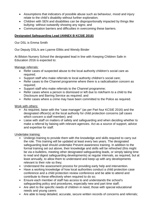- Assumptions that indicators of possible abuse such as behaviour, mood and injury relate to the child's disability without further exploration;
- Children with SEN and disabilities can be disproportionally impacted by things like bullying- without outwardly showing any signs; and
- Communication barriers and difficulties in overcoming these barriers.

# **Designated Safeguarding Lead (ANNEX B KCSIE 2016)**

Our DSL is Emma Smith

Our Deputy DSL/s are Lyanne Ellitts and Wendy Binder

At Bilston Nursery School the designated lead in line with Keeping Children Safe in Education 2016 is expected to:

#### Manage referrals:

- Refer cases of suspected abuse to the local authority children's social care as required;
- Support staff who make referrals to local authority children's social care;
- Refer cases to the Channel programme where there is a radicalisation concern as required:
- Support staff who make referrals to the Channel programme;
- Refer cases where a person is dismissed or left due to risk/harm to a child to the Disclosure and Barring Service as required; and
- Refer cases where a crime may have been committed to the Police as required.

## Work with others:

- As required, liaise with the "case manager" (as per Part four KCSIE 2016) and the designated officer(s) at the local authority for child protection concerns (all cases which concern a staff member); and
- Liaise with staff on matters of safety and safeguarding and when deciding whether to make a referral by liaising with relevant agencies. Act as a source of support, advice and expertise for staff.

#### Undertake training:

- Undergo training to provide them with the knowledge and skills required to carry out the role. This training will be updated at least every two years. The designated safeguarding lead should undertake Prevent awareness training. In addition to the formal training set out above, their knowledge and skills will be refreshed (this might be via e-bulletins, meeting other designated safeguarding leads, or simply taking time to read and digest safeguarding developments) at regular intervals, as required, but at least annually, to allow them to understand and keep up with any developments relevant to their role so they;
- Understand the assessment process for providing early help and intervention.
- Have a working knowledge of how local authorities conduct a child protection case conference and a child protection review conference and be able to attend and contribute to these effectively when required to do so;
- Ensure each member of staff has access to and understands the school's safeguarding policy and procedures, especially new and part time staff;
- Are alert to the specific needs of children in need, those with special educational needs and young carers
- Are able to keep detailed, accurate, secure written records of concerns and referrals;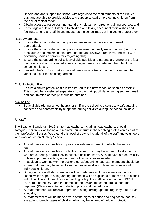- Understand and support the school with regards to the requirements of the Prevent duty and are able to provide advice and support to staff on protecting children from the risk of radicalisation;
- Obtain access to resources and attend any relevant or refresher training courses; and
- Encourage a culture of listening to children and taking account of their wishes and feelings, among all staff, in any measures the school may put in place to protect them.

Raise Awareness:

- Ensure the school safeguarding policies are known, understood and used appropriately;
- Ensure the school safeguarding policy is reviewed annually (as a minimum) and the procedures and implementation are updated and reviewed regularly, and work with governing bodies or proprietors regarding this;
- Ensure the safeguarding policy is available publicly and parents are aware of the fact that referrals about suspected abuse or neglect may be made and the role of the school in this; and
- Link with the WSCB to make sure staff are aware of training opportunities and the latest local policies on safeguarding.

Child Protection File:

• Ensure a child's protection file is transferred to the new school as soon as possible. This should be transferred separately from the main pupil file, ensuring secure transit and confirmation of receipt should be obtained.

Availability:

• Be available (during school hours) for staff in the school to discuss any safeguarding concerns and contactable by telephone during activities during the school holidays.

# **All staff**

The Teacher Standards (2012*)* state that teachers, including headteachers, should safeguard children's wellbeing and maintain public trust in the teaching profession as part of their professional duties. We extend this level of duty to include all of the staff and volunteers who work at Bilston Nursery School.

- All staff have a responsibility to provide a safe environment in which children can learn;
- All staff have a responsibility to identify children who may be in need of extra help or who are suffering, or are likely to suffer, significant harm. All staff have a responsibility to take appropriate action, working with other services as needed;
- In addition to working with the designated safeguarding lead staff members should be aware that they may be asked to support social workers to take decisions about individual children;
- During induction all staff members will be made aware of the systems within our school which support safeguarding and these will be explained to them as part of their induction. This includes: the safeguarding policy; the staff code of conduct; KCSIE 2016, role of the DSL and the names of the designated safeguarding lead and deputies. (Please refer to our Induction policy and procedures);
- All staff members will receive appropriate safeguarding updates regularly, but at least annually;
- All staff members will be made aware of the signs of abuse and neglect so that they are able to identify cases of children who may be in need of help or protection;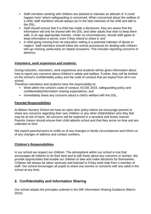- Staff members working with children are advised to maintain an attitude of 'it could happen here' where safeguarding is concerned. When concerned about the welfare of a child, staff members should always act in the best interests of the child and talk to the DSL;
- Staff should ensure that if a child has made a disclosure, they are aware that the information will only be shared with the DSL and other adults that wish to keep them safe, in an age appropriate manner. Under no circumstances, should staff agree to keep information a secret, even if they intend to share it; and
- A child going missing from an education setting is a potential indicator of abuse or neglect. Staff members should follow the school procedures for dealing with children who go missing, particularly on repeat occasions. This includes reporting concerns of absence.

# **Volunteers, work experience and students:**

During induction, volunteers, work experience and students will be given information about how to report any concerns about children's safety and welfare. Further, they will be briefed on the school's confidentiality policy and the code of conduct that we expect from all in our school.

Therefore volunteers and students have the responsibility to:

- Work within the school's code of conduct, KCSIE 2016, safeguarding policy and confidentiality/information sharing expectations; and
- Immediately share any concerns about a child's welfare with the DSL.

## **Parental Responsibilities**

At Bilston Nursery School we have an open door policy where we encourage parents to share any concerns regarding their own children or any other child/children who they feel may be at risk of harm. All concerns will be explored in a sensitive and timely manner. Parents /carers should ensure their child attends school and that they arrive on time and are collected on time.

We expect parents/carers to notify us of any changes in family circumstances and inform us of any changes of address and contact numbers.

#### **Children's Responsibilities**

In our school we respect our children. The atmosphere within our school is one that encourages all children to do their best and to talk freely about any concerns or worries. We provide opportunities that enable our children to take and make decisions for themselves. Children will always be taken seriously and listened to if they seek help from a member of staff. Our school encourages all pupils to share any worries or concerns with any adult in the school at any time.

# **2. Confidentiality and Information Sharing**

Our school adopts the principles outlined in the DfE Information Sharing Guidance (March 2015)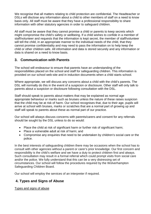We recognise that all matters relating to child protection are confidential. The Headteacher or DSLs will disclose any information about a child to other members of staff on a need to know basis only. All staff must be aware that they have a professional responsibility to share information with other statutory agencies in order to safeguard children.

All staff must be aware that they cannot promise a child or parents to keep secrets which might compromise the child's safety or wellbeing. If a child wishes to confide in a member of staff/volunteer and requests that the information is kept secret, the member of staff/volunteer will tell the child, in an appropriate manner to the individual needs of the child, that they cannot promise confidentiality and may need to pass the information on to help keep the child or other children safe. All information and data is stored securely and any information or data is shared on a need to know basis.

# **3. Communication with Parents**

The school will endeavour to ensure that parents have an understanding of the responsibilities placed on the school and staff for safeguarding children. This information is provided on our school web-site and in induction documents when a child starts school.

Where appropriate, we will discuss any concerns about a child with the child's parents. The DSL will normally do this in the event of a suspicion or disclosure. Other staff will only talk to parents about a suspicion or disclosure following consultation with the DSL.

Staff should speak to parents about matters that may be explained as normal age appropriate behaviour or marks such as bruises unless the nature of these raises suspicion that the child may be at risk of harm. Our school recognises that, due to their age, pupils will arrive at school with bruises, marks or scratches that are a normal part of growing up and staff will speak to parents about these as normal part of our practice.

Our school will always discuss concerns with parents/carers and consent for any referrals should be sought by the DSL unless to do so would:

- Place the child at risk of significant harm or further risk of significant harm;
- Place a vulnerable adult at risk of harm; and
- Compromise any enquiries that need to be undertaken by children's social care or the police.

In the best interests of safeguarding children there may be occasions when the school has to consult with other agencies without a parent or carer's prior knowledge. Our first concern and responsibility is the child's welfare and we have a duty to protect children first and always. Such consultation may result in a formal referral which could prompt visits from social care and/or the police. We fully understand that this can be a very distressing set of circumstances. Our school will follow the procedures required by the Wolverhampton Safeguarding Children Board.

Our school will employ the services of an interpreter if required.

# **4. Types and Signs of Abuse**

Types and signs of abuse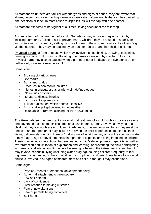All staff and volunteers are familiar with the types and signs of abuse, they are aware that abuse, neglect and safeguarding issues are rarely standalone events that can be covered by one definition or label. In most cases multiple issues will overlap with one another.

All staff are expected to be vigilant at all times, taking account of the following.

**Abuse:** a form of maltreatment of a child. Somebody may abuse or neglect a child by inflicting harm or by failing to act to prevent harm. Children may be abused in a family or in an institutional or community setting by those known to them or, more rarely, by others (e.g. via the internet). They may be abused by an adult or adults or another child or children.

**Physical abuse**: a form of abuse which may involve hitting, shaking, throwing, poisoning, burning or scalding, drowning, suffocating or otherwise causing physical harm to a child. Physical harm may also be caused when a parent or carer fabricates the symptoms of, or deliberately induces, illness in a child.

Some signs:

- Bruising of various ages
- Bite marks
- Burns and scalds
- Fractures in non-mobile children
- Injuries in unusual areas or with well defined edges
- Old injuries or scars
- Refusal to discuss injuries
- Inconsistent explanations
- Talk of punishment which seems excessive
- Arms and legs kept covered in hot weather
- Reluctance to remove clothing for PE or swimming

**Emotional abuse**: the persistent emotional maltreatment of a child such as to cause severe and adverse effects on the child's emotional development. It may involve conveying to a child that they are worthless or unloved, inadequate, or valued only insofar as they meet the needs of another person. It may include not giving the child opportunities to express their views, deliberately silencing them or 'making fun' of what they say or how they communicate. It may feature age or developmentally inappropriate expectations being imposed on children. These may include interactions that are beyond a child's developmental capability as well as overprotection and limitation of exploration and learning, or preventing the child participating in normal social interaction. It may involve seeing or hearing the ill-treatment of another. It may involve serious bullying (including cyber-bullying), causing children frequently to feel frightened or in danger, or the exploitation or corruption of children. Some level of emotional abuse is involved in all types of maltreatment of a child, although it may occur alone.

#### Some signs:

- Physical, mental or emotional development delay
- Abnormal attachment to parents/carer
- Low self-esteem
- Lack of confidence
- Over-reaction to making mistakes
- Fear of new situations
- Fear of parents being contacted
- Self-harm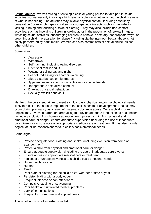**Sexual abuse:** involves forcing or enticing a child or young person to take part in sexual activities, not necessarily involving a high level of violence, whether or not the child is aware of what is happening. The activities may involve physical contact, including assault by penetration (for example rape or oral sex) or non-penetrative acts such as masturbation, kissing, rubbing and touching outside of clothing. They may also include non-contact activities, such as involving children in looking at, or in the production of, sexual images, watching sexual activities, encouraging children to behave in sexually inappropriate ways, or grooming a child in preparation for abuse (including via the internet). Sexual abuse is not solely perpetrated by adult males. Women can also commit acts of sexual abuse, as can other children.

Some signs:

- Aggression
- Withdrawn
- Self-harming, including eating disorders
- Distrust of familiar adult
- Wetting or soiling day and night
- Fear of undressing for sport or swimming
- Sleep disturbances or nightmares
- Apparent secrecy about social activities or special friends
- Inappropriate sexualized conduct
- Drawings of sexual behaviours
- Sexually explicit behaviour

**Neglect:** the persistent failure to meet a child's basic physical and/or psychological needs, likely to result in the serious impairment of the child's health or development. Neglect may occur during pregnancy as a result of maternal substance abuse. Once a child is born, neglect may involve a parent or carer failing to: provide adequate food, clothing and shelter (including exclusion from home or abandonment); protect a child from physical and emotional harm or danger; ensure adequate supervision (including the use of inadequate care-givers); or ensure access to appropriate medical care or treatment. It may also include neglect of, or unresponsiveness to, a child's basic emotional needs.

Some signs:

- Provide adequate food, clothing and shelter (including exclusion from home or abandonment)
- Protect a child from physical and emotional harm or danger;
- Ensure adequate supervision (including the use of inadequate care-givers)
- Ensure access to appropriate medical care or treatment
- neglect of or unresponsiveness to a child's basic emotional needs
- Under weight for age
- Hungry
- **Tired**
- Poor state of clothing for the child's size, weather or time of year
- Persistently dirty with a body odour
- Frequent lateness or non-attendance
- Compulsive stealing or scavenging
- Poor health and untreated medical problems
- Lack of immunisations
- Frequently missed medical appointments

The list of signs is not an exhaustive list.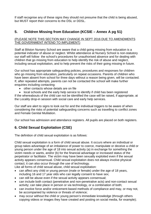If staff recognise any of these signs they should not presume that the child is being abused, but MUST report their concerns to the DSL or DDSL.

# **5. Children Missing from Education (KCSIE – Annex A pg 51)**

## (PLEASE NOTE THIS SECTION MAY CHANGE IN SEPT 2016 DUE TO AMENDMENTS THE GOVERNMENT INTEND TO IMPLEMENT)

Staff at Bilston Nursery School are aware that a child going missing from education is a potential indicator of abuse or neglect. Whilst attendance at Nursery School is non-statutory our staff will follow the school's procedures for unauthorised absence and for dealing with children that go missing from education to help identify the risk of abuse and neglect, including sexual exploitation, and to help prevent the risks of their going missing in future.

Our school has appropriate safeguarding policies, procedures and responses for children who go missing from education, particularly on repeat occasions. Parents of children who have been absent from school for three days without a reason being given, will be contacted. If, after repeated attempts, parents can not be contacted the school will make further enquiries including contacting:

- other contacts whose details are on file
- local schools and the early help service to identify if child has been registered

If the whereabouts of the child can not be identified the case will be raised, if appropriate, at the Locality drop-in session with social care and early help services.

Our staff are alert to signs to look out for and the individual triggers to be aware of when considering the risks of potential safeguarding concerns such as travelling to conflict zones and Female Genital Mutilation.

Our school has admission and attendance registers. All pupils are placed on both registers.

# **6. Child Sexual Exploitation (CSE)**

The definition of child sexual exploitation is as follows:

Child sexual exploitation is a form of child sexual abuse. It occurs where an individual or group takes advantage of an imbalance of power to coerce, manipulate or deceive a child or young person under the age of 18 into sexual activity (a) in exchange for something the victim needs or wants, and/or (b) for the financial advantage or increased status of the perpetrator or facilitator. The victim may have been sexually exploited even if the sexual activity appears consensual. Child sexual exploitation does not always involve physical contact; it can also occur through the use of technology.

Like all forms of child sexual abuse, child sexual exploitation:

- can affect any child or young person (male or female) under the age of 18 years, including 16 and 17 year olds who can legally consent to have sex;
- can still be abuse even if the sexual activity appears consensual;
- can include both contact (penetrative and non-penetrative acts) and non-contact sexual activity; can take place in person or via technology, or a combination of both;
- can involve force and/or enticement-based methods of compliance and may, or may not, be accompanied by violence or threats of violence;
- may occur without the child or young person's immediate knowledge (through others copying videos or images they have created and posting on social media, for example);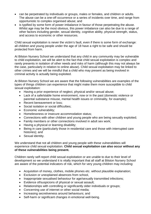- can be perpetrated by individuals or groups, males or females, and children or adults. The abuse can be a one-off occurrence or a series of incidents over time, and range from opportunistic to complex organised abuse; and
- is typified by some form of power imbalance in favour of those perpetrating the abuse. Whilst age may be the most obvious, this power imbalance can also be due to a range of other factors including gender, sexual identity, cognitive ability, physical strength, status, and access to economic or other resources.

Child sexual exploitation is never the victim's fault, even if there is some form of exchange: all children and young people under the age of 18 have a right to be safe and should be protected from harm.

At Bilston Nursery School we understand that any child in any community may be vulnerable to child exploitation, we will be alert to the fact that child sexual exploitation is complex and rarely presents in isolation of other needs and risks of harm (although this may not always be the case, particularly in relation to online abuse). Child sexual exploitation may be linked to other crimes and we will be mindful that a child who may present as being involved in criminal activity is actually being exploited.

At Bilston Nursery School we are aware that the following vulnerabilities are examples of the types of things children can experience that might make them more susceptible to child sexual exploitation:

- Having a prior experience of neglect, physical and/or sexual abuse;
- Lack of a safe/stable home environment, now or in the past (domestic violence or parental substance misuse, mental health issues or criminality, for example);
- Recent bereavement or loss:
- Social isolation or social difficulties;
- Economic vulnerability;
- Homelessness or insecure accommodation status;
- Connections with other children and young people who are being sexually exploited;
- Family members or other connections involved in adult sex work:
- Having a physical or learning disability;
- Being in care (particularly those in residential care and those with interrupted care histories); and
- Sexual identity.

We understand that not all children and young people with these vulnerabilities will experience child sexual exploitation. **Child sexual exploitation can also occur without any of these vulnerabilities being present.**

Children rarely self-report child sexual exploitation or are unable to due to their level of development so we understand it is vitally important that all staff at Bilston Nursery School are aware of the potential indicators of risk, which for very young children may including:

- Acquisition of money, clothes, mobile phones etc. without plausible explanation;
- Exclusion or unexplained absences from school,
- Inappropriate sexualised behaviour for age/sexually transmitted infections;
- Evidence of/suspicions of physical or sexual assault;
- Relationships with controlling or significantly older individuals or groups;
- Concerning use of internet or other social media;
- Increasing secretiveness around behaviours; and
- Self-harm or significant changes in emotional well-being.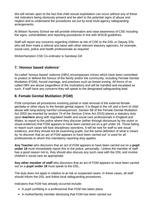We will remain open to the fact that child sexual exploitation can occur without any of these risk indicators being obviously present and be alert to the potential signs of abuse and neglect and to understand the procedures set out by local multi-agency safeguarding arrangements.

At Bilston Nursery School we will provide information and raise awareness of CSE including the signs, vulnerabilities and reporting procedures in line with WSCB guidelines

Staff will report any concerns regarding children at risk of CSE to the DSL or Deputy DSL who will then make a referral and liaise with other relevant statutory agencies, for example, social care, police and health professionals as required

Wolverhampton CSE Co-ordinator is Sandeep Gill

# **7. 'Honour based violence'**

So-called 'honour-based' violence (HBV) encompasses crimes which have been committed to protect or defend the honour of the family and/or the community, including Female Genital Mutilation (FGM), forced marriage, and practices such as breast ironing. All forms of so called HBV are abuse (regardless of the motivation) and will be handled and escalated as such. If staff have any concerns they will speak to the designated safeguarding lead.

# **8. Female Genital Mutilation (FGM)**

FGM comprises all procedures involving partial or total removal of the external female genitalia or other injury to the female genital organs. It is illegal in the UK and a form of child abuse with long-lasting harmful consequences. Section 5B of the Female Genital Mutilation Act 2003 (as inserted by section 74 of the Serious Crime Act 2015) places a statutory duty upon **teachers** along with regulated health and social care professionals in England and Wales, to report to the police where they discover (either through disclosure by the victim or visual evidence) that FGM appears to have been carried out on a girl under 18. Those failing to report such cases will face disciplinary sanctions. It will be rare for staff to see visual evidence, and they should not be examining pupils, but the same definition of what is meant by "to discover that an act of FGM appears to have been carried out" is used for all professionals to whom this mandatory reporting duty applies.

**Any Teacher** who discovers that an act of FGM appears to have been carried out on a **pupil under 18** must immediately report this to the police, personally.. Unless the member of staff has a good reason not to, they should also discuss any such case with the DSL and involve children's social care as appropriate.

**Any other member of staff** who discovers that an act of FGM appears to have been carried out on a **pupil under 18** must speak to the DSL.

The duty does not apply in relation to at risk or suspected cases. In these cases, all staff should inform the DSL and follow local safeguarding procedures.

Indicators that FGM has already occurred include:

- A pupil confiding in a professional that FGM has taken place
- A mother/family member disclosing that FGM has been carried out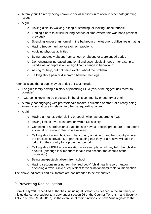- A family/pupil already being known to social services in relation to other safeguarding issues
- A girl:
	- o Having difficulty walking, sitting or standing, or looking uncomfortable
	- o Finding it hard to sit still for long periods of time (where this was not a problem previously)
	- o Spending longer than normal in the bathroom or toilet due to difficulties urinating
	- o Having frequent urinary or stomach problems
	- o Avoiding physical activities
	- o Being repeatedly absent from school, or absent for a prolonged period
	- o Demonstrating increased emotional and psychological needs for example, withdrawal or depression, or significant change in behaviour
	- o Asking for help, but not being explicit about the problem
	- o Talking about pain or discomfort between her legs

Potential signs that a pupil may be at risk of FGM include:

- The girl's family having a history of practising FGM (this is the biggest risk factor to consider)
- FGM being known to be practised in the girl's community or country of origin
- A family not engaging with professionals (health, education or other) or already being known to social care in relation to other safeguarding issues
- A girl:
	- o Having a mother, older sibling or cousin who has undergone FGM
	- o Having limited level of integration within UK society
	- o Confiding to a professional that she is to have a "special procedure" or to attend a special occasion to "become a woman"
	- o Talking about a long holiday to her country of origin or another country where the practice is prevalent, or parents stating that they or a relative will take the girl out of the country for a prolonged period
	- o Talking about FGM in conversation for example, a girl may tell other children about it (although it is important to take into account the context of the discussion)
	- o Being unexpectedly absent from school
	- o Having sections missing from her 'red book' (child health record) and/or attending a travel clinic or equivalent for vaccinations/anti-malarial medication

The above indicators and risk factors are not intended to be exhaustive.

# **9. Preventing Radicalisation**

From 1 July 2015 specified authorities, including all schools as defined in the summary of this guidance, are subject to a duty under section 26 of the Counter-Terrorism and Security Act 2015 ("the CTSA 2015"), in the exercise of their functions, to have "due regard" to the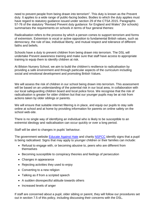need to prevent people from being drawn into terrorism". This duty is known as the Prevent duty. It applies to a wide range of public-facing bodies. Bodies to which the duty applies must have regard to statutory guidance issued under section 29 of the CTSA 2015. Paragraphs 57-76 of the statutory "Revised Prevent duty guidance: for England and Wales" (for schools) summarises the requirements on schools in terms of four general themes:

Radicalisation refers to the process by which a person comes to support terrorism and forms of extremism. Extremism is vocal or active opposition to fundamental British values, such as democracy, the rule of law, individual liberty, and mutual respect and tolerance of different faiths and beliefs.

Schools have a duty to prevent children from being drawn into terrorism. The DSL will undertake Prevent awareness training and make sure that staff have access to appropriate training to equip them to identify children at risk.

At Bilston Nursery School, we aim to build the children's resilience to radicalisation by providing a safe environment and through particular aspects of the curriculum including social and emotional development and promoting British Values.

We will assess the risk of children in our school being drawn into terrorism. This assessment will be based on an understanding of the potential risk in our local area, in collaboration with our local safeguarding children board and local police force. We recognise that the risk of radicalisation is greater for older children but that our younger pupils may be at risk from actions taken by older siblings or parents.

We will ensure that suitable internet filtering is in place, and equip our pupils to stay safe online at school and at home by providing information for parents on online safety on the school web-site.

There is no single way of identifying an individual who is likely to be susceptible to an extremist ideology and radicalisation can occur quickly or over a long period.

Staff will be alert to changes in pupils' behaviour.

The government website [Educate Against Hate](http://educateagainsthate.com/parents/what-are-the-warning-signs/) and charity [NSPCC](https://www.nspcc.org.uk/what-you-can-do/report-abuse/dedicated-helplines/protecting-children-from-radicalisation/) identify signs that a pupil is being radicalised. Signs that may apply to younger children or their families can include:

- Refusal to engage with, or becoming abusive to, peers who are different from themselves
- Becoming susceptible to conspiracy theories and feelings of persecution
- Changes in appearance
- Rejecting activities they used to enjoy
- Converting to a new religion
- Talking as if from a scripted speech
- A sudden disrespectful attitude towards others
- Increased levels of anger

If staff are concerned about a pupil, older sibling or parent, they will follow our procedures set out in section 7.5 of this policy, including discussing their concerns with the DSL.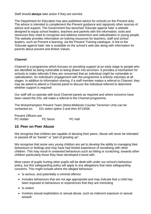Staff should **always** take action if they are worried.

The Department for Education has also published advice for schools on the Prevent duty. The advice is intended to complement the Prevent guidance and signposts other sources of advice and support. The Government has launched 'Educate against hate' a website designed to equip school leaders, teachers and parents with the information, tools and resources they need to recognise and address extremism and radicalisation in young people. The website provides information on training resources for teachers, staff and school leaders, such as Prevent e-learning, via the Prevent Training catalogue. A link to the 'Educate against hate' site is available on the school's web-site along with information for parents about prevent and British Values.

# **Channel**

Channel is a programme which focuses on providing support at an early stage to people who are identified as being vulnerable to being drawn into terrorism. It provides a mechanism for schools to make referrals if they are concerned that an individual might be vulnerable to radicalisation. An individual's engagement with the programme is entirely voluntary at all stages. In addition to information sharing, if a staff member makes a referral to Channel, they may be asked to attend a Channel panel to discuss the individual referred to determine whether support is required

Our staff will co-operate with local Channel panels as required and where concerns have been raised the DSL will make a referral to the Channel programme.

The Wolverhampton Prevent Team (West-Midlands Counter Terrorism Unit) can be contacted on: 101 select option 3 and then 8713036

Prevent Officers are: PC Holder PC Nixon PC Hall

# **10. Peer on Peer Abuse**

We recognise that children are capable of abusing their peers. Abuse will never be tolerated or passed off as "banter" or "part of growing up".

We recognise that some very young children are yet to develop the ability to managing their behaviours or feelings and may have had limited experience of socialising with other children. This may result in unwanted behaviours such as hitting or scratching, towards other children particularly those they have developed a bond with.

Most cases of pupils hurting other pupils will be dealt with under our school's behaviour policy, but this safeguarding policy will apply to any allegations that raise safeguarding concerns. This might include where the alleged behaviour:

- Is serious, and potentially a criminal offence
- Includes behaviours that are not age appropriate and may indicate that a child has been exposed to behaviours or experiences that they are mimicking
- Is violent
- Involves sexual exploitation or sexual abuse, such as indecent exposure or sexual assault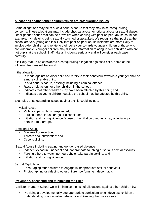# **Allegations against other children which are safeguarding issues**

Some allegations may be of such a serious nature that they may raise safeguarding concerns. These allegations may include physical abuse, emotional abuse or sexual abuse. Other gender issues that can be prevalent when dealing with peer on peer abuse could, for example, include girls being sexually touched or assaulted. We recognise that pupils at the school are very young and it is likely that peer on peer abuse incidents are more likely to involve older children and relate to their behaviour towards younger children or those who are vulnerable. Younger children may disclose information relating to older children who are not pupils at the school. Staff take all incidents seriously and will consider each case carefully.

It is likely that, to be considered a safeguarding allegation against a child, some of the following features will be found.

If the allegation:

- Is made against an older child and refers to their behaviour towards a younger child or a more vulnerable child;
- Is of a serious nature, possibly including a criminal offence;
- Raises risk factors for other children in the school;
- Indicates that other children may have been affected by this child; and
- Indicates that young children outside the school may be affected by this child.

Examples of safeguarding issues against a child could include:

#### Physical Abuse

- Violence, particularly pre-planned;
- Forcing others to use drugs or alcohol; and
- Initiation and hazing violence (abuse or humiliation used as a way of initiating a person into a group).

# Emotional Abuse

- Blackmail or extortion;
- Threats and intimidation; and
- Cyber-bullying.

Sexual Abuse including sexting and gender based violence

- Indecent exposure, indecent and inappropriate touching or serious sexual assaults;
- Forcing others to watch pornography or take part in sexting; and
- Initiation and hazing violence.

# Sexual Exploitation

- Encouraging other children to engage in inappropriate sexual behaviour
- Photographing or videoing other children performing indecent acts.

# **Prevention, assessing and minimising the risks**

At Bilston Nursery School we will minimise the risk of allegations against other children by:

• Providing a developmentally age appropriate curriculum which develops children's understanding of acceptable behaviour and keeping themselves safe;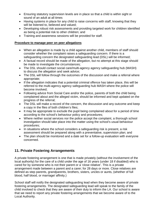- Ensuring statutory supervision levels are in place so that a child is within sight or sound of an adult at all times
- Having systems in place for any child to raise concerns with staff, knowing that they will be listened to, believed and valued;
- Developing robust risk assessments and providing targeted work for children identified as being a potential risk to other children; and
- Training and awareness sessions will be provided for staff.

# **Procedure to manage peer on peer allegations**

- When an allegation is made by a child against another child, members of staff should consider whether the complaint raises a safeguarding concern. If there is a safeguarding concern the designated safeguarding lead (DSL) will be informed;
- A factual record should be made of the allegation, but no attempt at this stage should be made to investigate the circumstances;
- The DSL should contact social care/multi-agency agency safeguarding hub (MASH) to discuss the allegation and seek advice;
- The DSL will follow through the outcomes of the discussion and make a referral where appropriate;
- If the allegation indicates that a potential criminal offence has taken place, this will be referred to the multi-agency agency safeguarding hub MASH where the police will become involved;
- Following advice from Social Care and/or the police, parents of both the child being complained about and the alleged victim, should be informed and kept updated on the progress of the referral;
- The DSL will make a record of the concern, the discussion and any outcome and keep a copy in the files of both children's files;
- It may be appropriate to exclude the pupil being complained about for a period of time according to the school's behaviour policy and procedures;
- Where neither social services nor the police accept the complaint, a thorough school investigation should take place into the matter using the school's usual behaviour procedures;
- In situations where the school considers a safeguarding risk is present, a risk assessment should be prepared along with a preventative, supervision plan; and
- The plan should be monitored and a date set for a follow-up evaluation with everyone concerned.

# **11. Private Fostering Arrangements**

A private fostering arrangement is one that is made privately (without the involvement of the local authority) for the care of a child under the age of 16 years (under 18 if disabled) who is cared for by someone who is not their parent or a 'close relative'. This is a private arrangement made between a parent and a carer; for 28 days or more. Close relatives are defined as step parents, grandparents, brothers, sisters, uncles or aunts, (whether of full blood, half blood, or marriage/ affinity.)

School staff will notify the designated safeguarding lead when they become aware of private fostering arrangements. The designated safeguarding lead will speak to the family of the child involved to check that they are aware of their duty to inform the LA. Our school is aware that we need to report any private fostering arrangements that we become aware of to the Local Authority.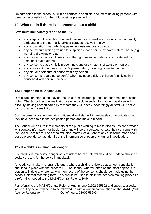On admission to the school, a full birth certificate or official document detailing persons with parental responsibility for the child must be presented.

# **12. What to do if there is a concern about a child**

## **Staff must immediately report to the DSL:**

- any suspicion that a child is injured, marked, or bruised in a way which is not readily attributable to the normal knocks or scrapes received in play
- any explanation given which appears inconsistent or suspicious
- any behaviours which give rise to suspicions that a child may have suffered harm (e.g. worrying drawings or play)
- any concerns that a child may be suffering from inadequate care, ill treatment, or emotional maltreatment
- any concerns that a child is presenting signs or symptoms of abuse or neglect
- any significant changes in a child's presentation, including non-attendance
- any hint or disclosure of abuse from any person
- any concerns regarding person(s) who may pose a risk to children (e.g. living in a household with children present)

# **12.1 Responding to Disclosures**

Disclosures or information may be received from children, parents or other members of the public. The School recognises that those who disclose such information may do so with difficulty, having chosen carefully to whom they will speak. Accordingly all staff will handle disclosures with sensitivity.

Such information cannot remain confidential and staff will immediately communicate what they have been told to the designated person and make a record.

The School will ensure that members of the public wishing to make disclosures are provided with contact information for Social Care and will be encouraged to raise their concerns with the Social Care team. The school will also inform Social Care of any disclosure made and if possible provide contact details of the informant so support any further investigation.

# **12.2 If a child is in immediate danger**

If, a child is in immediate danger or is at risk of harm a referral should be made to children's social care and /or the police immediately.

Anybody can make a referral. Although, where a child is registered at school, consultation should take place with the school's DSL or Deputy, who will often be the most appropriate person to initiate any referral. A written record of the concerns should be made using the schools internal recording form. This should be used to aid in the decision making process if a referral is needed to the MASH/Central Referral Hub.

For referral to the MASH/Central Referral Hub, phone 01902 555392 and speak to a social worker. Any action will need to be followed up with a written confirmation on the MARF (Multi Agency Referral form). Out of hours: 01902 55299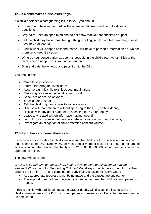# **12.3 If a child makes a disclosure to you**

If a child discloses a safeguarding issue to you, you should:

- Listen to and believe them. Allow them time to talk freely and do not ask leading questions
- Stay calm, keep an open mind and do not show that you are shocked or upset
- Tell the child they have done the right thing in telling you. Do not tell them they should have told you sooner
- Explain what will happen next and that you will have to pass this information on. Do not promise to keep it a secret
- Write up your conversation as soon as possible in the child's own words. Stick to the facts, and do not put your own judgement on it
- Sign and date the write-up and pass it on to the DSL.

You should not:

- Make false promises;
- Interrupt/Interrogate/Investigate;
- Assume e.g. this child tells lies/good imagination;
- Make suggestions about what is being said;
- Speculate or accuse anyone;
- Show anger or shock
- Tell the child to go and speak to someone else;
- Discuss with parent/carers without speaking to the DSL, or their deputy;
- Discuss with any other staff before speaking to DSL, or deputy;
- Leave any related written information laying around;
- Jump to conclusions about people's behaviour without knowing the facts;
- Investigate an allegation of child protection concern yourself;

# **12.4 If you have concerns about a child**

If you have concerns about a child's welfare and the child is not in immediate danger you must speak to the DSL, Deputy DSL or most Senior member of staff first to agree a course of action. You can also contact the charity NSPCC on 0808 800 5000 if you need advice on the appropriate action.

The DSL will consider:

*Is this a child with unmet needs where health, development or achievement may be affected?* Wolverhampton Supporting Children' Model says practitioners should form a Team around the Family (TaF) and complete an Early Help Assessment (EHA) when:

- Age appropriate progress is not being made and the causes are unclear; or
- The support of more than one agency is needed to meet the child or young person's needs.

If this is a child with additional needs the DSL or deputy will discuss the issues with the child's parents/carers. The DSL will obtain parental consent for an Early Help Assessment to be completed.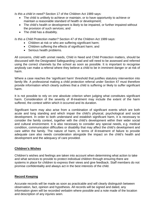*Is this a child in need?* Section 17 of the Children Act 1989 says:

- The child is unlikely to achieve or maintain, or to have opportunity to achieve or maintain a reasonable standard of health or development;
- The child's health or development is likely to be impaired, or further impaired without the provision of such services; and
- The child has a disability.

*Is this a Child Protection matter?* Section 47 of the Children Act 1989 says:

- Children at risk or who are suffering significant harm;
- Children suffering the effects of significant harm; and
- Serious health problems.

All concerns, child with unmet needs, Child in Need and Child Protection matters, should be discussed with the Designated Safeguarding Lead and will need to be assessed and referred using the correct channels by the school as soon as possible. It is important to recognise anybody can make a referral where they believe a child to be in imminent danger or at risk of harm.

Where a case reaches the 'significant harm' threshold that justifies statutory intervention into family life. A professional making a child protection referral under Section 47 must therefore provide information which clearly outlines that a child is suffering or likely to suffer significant harm.

It is not possible to rely on one absolute criterion when judging what constitutes significant harm. Consideration of the severity of ill-treatment may include the extent of the harm suffered, the context within which it occurred and its duration.

Significant harm may also arise from a combination of significant events which are both acute and long standing and which impair the child's physical, psychological and social development. In order to both understand and establish significant harm, it is necessary to consider the family context, together with the child's development within their wider social and cultural environment. It is also necessary to consider any special needs, e.g. medical condition, communication difficulties or disability that may affect the child's development and care within the family. The nature of harm, in terms of ill-treatment of failure to provide adequate care also needs consideration alongside the impact on the child's health and development and the adequacy of care provided.

# **Children's Wishes**

Children's wishes and feelings are taken into account when determining what action to take and what services to provide to protect individual children through ensuring there are systems in place for children to express their views and give feedback. Staff members do not promise confidentiality and always act in the best interests of the child.

# **Record Keeping**

Accurate records will be made as soon as practicable and will clearly distinguish between observation, fact, opinion and hypothesis. All records will be signed and dated, any information given will be recorded verbatim where possible and a note made of the location and description of any injuries seen.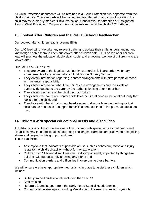All Child Protection documents will be retained in a 'Child Protection' file, separate from the child's main file. These records will be copied and transferred to any school or setting the child moves to, clearly marked 'Child Protection, Confidential, for attention of Designated Person Child Protection.' Original copies will be retained until the child's 25<sup>th</sup> birthday.

# **13. Looked After Children and the Virtual School Headteacher**

Our Looked after children lead is Lyanne Ellitts

Our LAC lead will undertake any relevant training to update their skills, understanding and knowledge enable them to keep our looked after children safe. Our Looked after children lead will promote the educational, physical, social and emotional welfare of children who are looked after.

Our LAC Lead will ensure:

- They are aware of the legal status (interim care order, full care order, voluntary arrangements of any looked after child at Bilston Nursery School)
- They obtain information regarding, contact arrangements with birth parents or those with parental responsibility;
- They obtain information about the child's care arrangements and the levels of authority delegated to the carer by the authority looking after him or her;
- They obtain the name of the child's social worker;
- They obtain the name and contact details of the virtual head in the local authority that looks after the child; and
- They liaise with the virtual school headteacher to discuss how the funding for that child can be best used to support the child's need outlined in the personal education plan.

# **14. Children with special educational needs and disabilities**

At Bilston Nursery School we are aware that children with special educational needs and disabilities may face additional safeguarding challenges. Barriers can exist when recognising abuse and neglect in this group of children.

These can include:

- Assumptions that indicators of possible abuse such as behaviour, mood and injury relate to the child's disability without further exploration;
- Children with SEN and disabilities can be disproportionally impacted by things like bullying- without outwardly showing any signs; and
- Communication barriers and difficulties in overcoming these barriers.

We will ensure we have appropriate mechanisms in place to assist these children which include:

- Suitably trained professionals including the SENCO
- Staff training
- Referrals to and support from the Early Years Special Needs Service
- Communication strategies including Makaton and the use of signs and symbols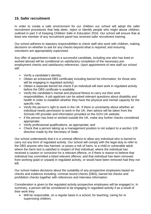# **15. Safer recruitment**

In order to create a safe environment for our children our school will adopt the safer recruitment procedures that help deter, reject or identify people who might abuse children, outlined in part 3 of Keeping Children Safe in Education 2016. Our school will ensure that at least one member of any recruitment panel has received safer recruitment training.

Our school adheres to statutory responsibilities to check staff who work with children, making decisions on whether to ask for any checks beyond what is required; and ensuring volunteers are appropriately supervised.

Any offer of appointment made to a successful candidate, including one who has lived or worked abroad will be conditional on satisfactory completion of the necessary preemployment checks and satisfactory references. Upon appointment of new staff our school will:

- Verify a candidate's identity;
- Obtain an enhanced DBS certificate( including barred list information, for those who will be engaging in regulated activity);
- Obtain a separate barred list check if an individual will start work in regulated activity before the DBS certificate is available;
- Verify the candidate's mental and physical fitness to carry out their work responsibilities. A job applicant can be asked relevant questions about disability and health in order to establish whether they have the physical and mental capacity for the specific role;
- Verify the person's right to work in the UK. If there is uncertainty about whether an individual needs permission to work in the UK, then advice will be taken from the Schools HR provider and information provided on the GOV.UK website;
- if the person has lived or worked outside the UK, make any further checks considered appropriate;
- Verify professional qualifications, as appropriate; and
- Check that a person taking up a management position is not subject to a section 128 direction made by the Secretary of State.

Our school understands that it is a criminal offence to allow any individual who is barred to carry out any form of regulated activity. Our school will comply with the legal duty to refer to the DBS anyone who has harmed, or poses a risk of harm, to a child or vulnerable adult; where the harm test is satisfied in respect of that individual; where the individual has received a caution or conviction for a relevant offence, or if there is reason to believe that individual has committed a listed relevant offence; and that individual has been removed from working (paid or unpaid) in regulated activity, or would have been removed had they not left.

Our school makes decisions about the suitability of any prospective employees based on checks and evidence including; criminal record checks (DBS), barred list checks and prohibition checks together with references and interview information.

Consideration is given to the regulated activity prospective employees will be engaged in. In summary, a person will be considered to be engaging in regulated activity if as a result of their work they:

• Will be responsible, on a regular basis in a school, for teaching, caring for or supervising children;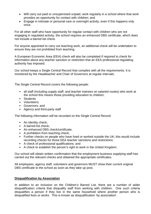- Will carry out paid or unsupervised unpaid, work regularly in a school where that work provides an opportunity for contact with children; and
- Engage in intimate or personal care or overnight activity, even if this happens only once.

For all other staff who have opportunity for regular contact with children who are not engaging in regulated activity, the school requires an enhanced DBS certificate, which does not include a barred list check.

For anyone appointed to carry out teaching work, an additional check will be undertaken to ensure they are not prohibited from teaching.

A European Economic Area (EEA) check will also be completed if required to check for information about any teacher sanction or restriction that an EEA professional regulating authority has imposed.

Our school keeps a Single Central Record that complies with all the requirements. It is monitored by the Headteacher and Chair of Governors at regular intervals.

The Single Central Record covers the following people:

- all staff (including supply staff, and teacher trainees on salaried routes) who work at the school this means those providing education to children;
- Students
- Volunteers:
- Governors; and
- Agency and third-party staff

The following information will be recorded on the Single Central Record:

- An identity check;
- A barred list check:
- An enhanced DBS check/certificate;
- A prohibition from teaching check;
- Further checks on people who have lived or worked outside the UK; this would include recording checks for those EEA teacher sanctions and restrictions;
- A check of professional qualifications; and
- A check to establish the person's right to work in the United Kingdom.

Our school will obtain written confirmation that the employment business supplying staff has carried out the relevant checks and obtained the appropriate certificates.

All employees, agency staff, volunteers and governors MUST show their current original DBS certificate to the school as soon as they take up post.

#### **Disqualification by Association**

In addition to an inclusion on the Children's Barred List, there are a number of wider disqualification criteria that disqualify staff from working with children. One such criteria disqualifies a person if they live in the same household where another person who is disqualified lives or works. This is known as disqualification 'by association'.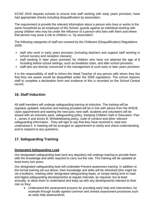*KCSiE 2016* requires schools to ensure that staff working with early years provision, have had appropriate checks including disqualification by association.

The requirement to provide the relevant information about a person who lives or works in the same household as an employee of this School, guards against an individual working with young children who may be under the influence of a person who lives with them and where that person may pose a risk to children i.e. 'by association'.

The following categories of staff are covered by the Childcare (Disqualification) Regulations 2009:

- staff who work in early years provision (including teachers and support staff working in school nursery and reception classes);
- staff working in later years provision for children who have not attained the age of 8 including before school settings, such as breakfast clubs, and after school provision;
- staff who are directly concerned in the management of such early or later years provision

It is the responsibility of staff to inform the Head Teacher of any person with whom they live that they are aware would be disqualified under the 2009 regulations. The school requires staff to complete a declaration form and evidence of this is recorded on the School Central record.

# **16. Staff Induction**

All staff members will undergo safeguarding training at induction. The training will be regularly updated. Induction and training provided will be in line with advice from the WSCB. Upon appointment and starting the new post, new staff, students and volunteers will be issued with an induction pack, safeguarding policy, Keeping Children Safe in Education -Part 1 , annex A and annex B, Whistleblowing policy, code of conduct and other relevant safeguarding information . They will sign to say that they have received it, read and understood it. A meeting will be arranged on appointment to clarify and check understanding and to respond to any questions.

# **17. Safeguarding Training**

# **Designated Safeguarding Lead**

Our designated safeguarding lead (and any deputies) will undergo training to provide them with the knowledge and skills required to carry out the role. This training will be updated at least every two years.

Our designated safeguarding lead will undertake Prevent awareness training. In addition to the formal training set out above, their knowledge and skills will be refreshed (this might be via e-bulletins, meeting other designated safeguarding leads, or simply taking time to read and digest safeguarding developments) at regular intervals, as required, but at least annually, to allow them to understand and keep up with any developments relevant to their role so they:

• Understand the assessment process for providing early help and intervention, for example through locally agreed common and shared assessment processes such as early help assessments;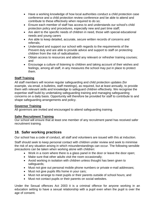- Have a working knowledge of how local authorities conduct a child protection case conference and a child protection review conference and be able to attend and contribute to these effectively when required to do so;
- Ensure each member of staff has access to and understands our school's child protection policy and procedures, especially new and part time staff;
- Are alert to the specific needs of children in need, those with special educational needs and young carers
- Are able to keep detailed, accurate, secure written records of concerns and referrals;
- Understand and support our school with regards to the requirements of the Prevent duty and are able to provide advice and support to staff on protecting children from the risk of radicalisation;
- Obtain access to resources and attend any relevant or refresher training courses; and
- Encourage a culture of listening to children and taking account of their wishes and feelings, among all staff, in any measures the school may put in place to protect them.

# **Staff Training**

All staff members will receive regular safeguarding and child protection updates (for example, via email, e-bulletins, staff meetings), as required, but at least annually, to provide them with relevant skills and knowledge to safeguard children effectively. We recognise the expertise staff build by undertaking safeguarding training and managing safeguarding concerns on a daily basis. Opportunity will therefore be provided for staff to contribute to and shape safeguarding arrangements and policy.

# **Governor Training**

All governors are invited and encouraged to attend safeguarding training.

# **Safer Recruitment Training**

Our school will ensure that at least one member of any recruitment panel has received safer recruitment training.

# **18. Safer working practices**

Our school has a code of conduct, all staff and volunteers are issued with this at induction.

Staff should seek to keep personal contact with children under review and seek to minimise the risk of any situation arising in which misunderstandings can occur. The following sensible precautions can be taken when working alone with children:

- Work in a room where there is a glass panel in the door or leave the door open;
- Make sure that other adults visit the room occasionally;
- Avoid working in isolation with children unless thought has been given to safeguards;
- Must not give out personal mobile phone numbers or private e-mail addresses;
- Must not give pupils lifts home in your cars;
- Must not arrange to meet pupils or their parents outside of school hours; and
- Must not contact pupils or their parents on social websites.

Under the Sexual offences Act 2003 it is a criminal offence for anyone working in an education setting to have a sexual relationship with a pupil even when the pupil is over the age of consent.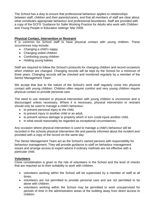The School has a duty to ensure that professional behaviour applies to relationships between staff, children and their parents/carers, and that all members of staff are clear about what constitutes appropriate behaviour and professional boundaries. Staff are provided with a copy of the DCFS 'Guidance for Safer Working Practice for Adults who work with Children and Young People in Education settings' Mar 2009.

# **Physical Contact, Intervention or Restraint**

It is common for School staff to have physical contact with young children. These occurrences may include:

- Changing a child's nappy
- Changing soiled children
- Comforting young children
- Holding young babies

Staff are required to follow the School's protocols for changing children and record occasions when children are changed. Changing records will be kept by the School for a minimum of three years. Changing records will be checked and monitored regularly by a member of the Senior Management Team.

We accept that due to the nature of the School's work staff regularly come into physical contact with young children. Children often require comfort and very young children require physical contact to provide personal care.

The need to use restraint or physical intervention with young children is uncommon and is discouraged unless necessary. Where it is necessary, physical intervention or restraint should only be used to manage a child's behaviour:

- to prevent personal injury to the child,
- to prevent injury to another child or an adult,
- to prevent serious damage to property which in turn could injure another child,
- in what would reasonably be regarded as exceptional circumstances.

Any occasion where physical intervention is used to manage a child's behaviour will be recorded in the schools physical intervention file and parents informed about the incident and provided with a copy of the record on the same day.

The Senior Management Team act as the School's named persons with responsibility for behaviour management. They will provide guidance to staff on behaviour management issues and arrange access to expert advice if ordinary methods are not effective with a particular child.

# **Volunteers**

Close consideration is given to the role of volunteers in the School and the level of checks that are required as to their suitability to work with children.

- volunteers working within the School will be supervised by a member of staff at all times.
- volunteers are not permitted to provide personal care and are not permitted to be alone with children.
- volunteers working within the School may be permitted to work unsupervised for periods of time in the administration areas of the building away from direct access to children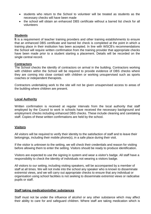- students who return to the School to volunteer will be treated as students as the necessary checks will have been made
- the school will obtain an enhanced DBS certificate without a barred list check for all volunteers

#### **Students**

**I**t is a requirement of teacher training providers and other training establishments to ensure that an enhanced DBS certificate and barred list check is completed at the point in which a training place in their institution has been accepted. In line with WSCB's recommendations the School will require written confirmation from the training provider that appropriate checks have been made prior to a student starting a placement. Details will be recorded on the single central record.

#### **Contractors**

The School checks the identify of contractors on arrival in the building. Contractors working with children within the School will be required to provide evidence of DBS checks where they are coming into close contact with children or working unsupervised such as sports coaches or independent therapists.

Contractors undertaking work to the site will not be given unsupervised access to areas of the building where children are present.

#### **Local Authority**

Written confirmation is received at regular intervals from the local authority that staff employed by the Council to work in schools have received the necessary background and employment checks including enhanced DBS checks. These include cleaning and caretaking staff. Copies of these written confirmations are held by the school.

#### **Visitors**

All visitors will be required to verify their identity to the satisfaction of staff and to leave their belongings, including their mobile phone(s), in a safe place during their visit.

If the visitor is unknown to the setting, we will check their credentials and reason for visiting before allowing them to enter the setting. Visitors should be ready to produce identification.

Visitors are expected to use the signing in system and wear a visitor's badge. All staff have a responsibility to check the identity of individuals not wearing a visitors badge.

All visitors to our setting, including visiting speakers, will be accompanied by a member of staff at all times. We will not invite into the school any speaker who is known to disseminate extremist views, and we will carry out appropriate checks to ensure that any individual or organisation using school facilities is not seeking to disseminate extremist views or radicalise pupils or staff.

#### **Staff taking medication/other substances**

Staff must not be under the influence of alcohol or any other substance which may affect their ability to care for and safeguard children. Where staff are taking medication which is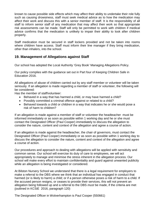known to cause possible side effects which may affect their ability to undertake their role fully such as causing drowsiness, staff must seek medical advice as to how the medication may affect their work and discuss this with a senior member of staff. It is the responsibility of all staff to inform senior staff of any medication that may affect their work so that appropriate risk assessments can be made. Staff will only be permitted to work with children if medical advice confirms that the medication is unlikely to impair their ability to look after children properly.

Staff medication must be secured in staff lockers provided and not be taken into rooms where children have access. Staff must inform their line manager if they bring medication, other than inhalers, into the school.

# **19. Management of Allegations against Staff**

Our school has adopted the Local Authority 'Grey Book' Managing Allegations Policy.

Our policy complies with the guidance set out in Part four of Keeping Children Safe in Education 2016.

All allegations of abuse of children carried out by any staff member or volunteer will be taken seriously. If an allegation is made regarding a member of staff or volunteer, the following will be considered:

Has the member of staff/volunteer:

- Behaved in a way that has harmed a child, or may have harmed a child?
- Possibly committed a criminal offence against or related to a child?
- Behaved towards a child or children in a way that indicates he or she would pose a risk of harm to children?

If an allegation is made against a member of staff or volunteer the headteacher must be informed immediately or as soon as possible within 1 working day and he or she must contact the Designated Officer (Paul Cooper) immediately to discuss the allegation to consider the nature, content and context of the allegation and agree a course of action.

If an allegation is made against the headteacher, the chair of governors, must contact the Designated Officer (Paul Cooper) immediately or as soon as possible within 1 working day to discuss the allegation to consider the nature, content and context of the allegation and agree a course of action.

Our procedures and approach to dealing with allegations will be applied with sensitivity and common sense. Our school will exercise its duty of care to employees, we will act appropriately to manage and minimise the stress inherent in the allegation process. Our school will make every effort to maintain confidentiality and guard against unwanted publicity while an allegation is being investigated or considered.

At Bilston Nursery School we understand that there is a legal requirement for employers to make a referral to the DBS where we think that an individual has engaged in conduct that harmed (or is likely to harm) a child; or if a person otherwise poses a risk of harm to a child. If the accused person resigns, or ceases to provide their services, this will not prevent an allegation being followed up and a referral to the DBS *must* be made, if the criteria are met (outlined in KCSiE 2016, paragraph 120)

The Designated Officer in Wolverhampton is Paul Cooper (550661)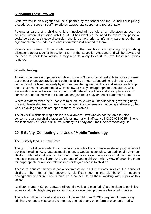## **Supporting Those Involved**

Staff involved in an allegation will be supported by the school and the Council's disciplinary procedures ensure that staff are offered appropriate support and representation.

Parents or carers of a child or children involved will be told of an allegation as soon as possible. Where discussion with the LADO has identified the need to involve the police or social services, a strategy discussion should be held prior to informing parents so that an agreement can be made as to what information is disclosed to them.

Parents and carers will be made aware of the prohibition on reporting or publishing allegations about teacher in section 141F of the Education Act 2002 and will be advised of the need to seek legal advice if they wish to apply to court to have these restrictions removed.

## **Whistleblowing**

All staff, volunteers and parents at Bilston Nursery School should feel able to raise concerns about poor or unsafe practice and potential failures in our safeguarding regime and such concerns will be taken seriously by our headteacher, governing body and senior leadership team. Our school has adopted a Whistleblowing policy and appropriate procedures, which are suitably reflected in staff training and staff behaviour policies and are in place for such concerns to be raised with our headteacher, governing body or senior leadership team.

Where a staff member feels unable to raise an issue with our headteacher, governing body or senior leadership team or feels that their genuine concerns are not being addressed, other whistleblowing channels are open to them, for example:

The NSPCC whistleblowing helpline is available for staff who do not feel able to raise concerns regarding child protection failures internally. Staff can call: 0800 028 0285 – line is available from 8:00 AM to 8:00 PM, Monday to Friday and Email: help@nspcc.org.uk

# **20. E-Safety, Computing and Use of Mobile Technology**

The E-Safety lead is Emma Smith

.

The growth of different electronic media in everyday life and an ever developing variety of devices including PC's, laptops, mobile phones, webcams etc. place an additional risk on our children. Internet chat rooms, discussion forums or social networks can all be used as a means of contacting children, or the parents of young children, with a view of grooming them for inappropriate or abusive relationships or to gain access to children.

Access to abusive images is not a 'victimless' act as it is already involved the abuse of children. The internet has become a significant tool in the distribution of indecent photographs of children and should be a concern to all those working with pupils at this school.

At Bilston Nursery School software (filters, firewalls and monitoring) are in place to minimise access and to highlight any person or child accessing inappropriate sites or information.

The police will be involved and advice will be sought from CEOP if required if there is any criminal element to misuse of the internet, phones or any other form of electronic media.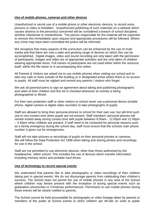## **Use of mobile phones, cameras and other devices**

Unauthorized or secret use of a mobile phone or other electronic devices, to record voice, pictures or video is forbidden. Unauthorized publishing of such materials on a website which causes distress to the person(s) concerned will be considered a breach of school discipline, whether intentional or unintentional. The person responsible for the material will be expected to remove this immediately upon request and appropriate procedures will be followed. Where any crime may have been committed the police will be informed.

We recognize that many aspects of the curriculum can be enhanced by the use of multimedia and that there are now a wide and growing range of devices on which this can be accomplished. Digital images, video and sound recording are only taken with the permission of participants; images and video are of appropriate activities and are only taken of children wearing appropriate dress. Full names of participants are not used either within the resource itself, within the file-name or in accompanying text online.

All Parents & Visitors are asked not to use mobile phones when visiting our school and to take any calls or texts outside of the building or in designated areas where there is no access to pupils. All staff must be vigilant and remind any parents / visitors who forget.

We ask all parents/carers to sign an agreement about taking and publishing photographs and video of their children and this list is checked whenever an activity is being photographed or filmed.

For their own protection staff or other visitors to school never use a personal device (mobile phone, digital camera or digital video recorder) to take photographs of pupils.

Staff are allowed to bring their personal phones to school for their own use, but will limit such use to non-contact time when pupils are not present. Staff members' personal phones will remain locked away during contact time with pupils between 9.00am - 12.00pm and 12.45pm – 3.45pm when children are present. If staff need to be contacted for personal reasons such as a family emergency during the school day, staff must ensure that the schools main phone number is given out for emergencies.

Staff will not take pictures or recordings of pupils on their personal phones or cameras. We will follow the Data Protection Act 1998 when taking and storing photos and recordings for use in the school.

Staff are not permitted to use electronic devices, other than those authorised by the headteacher, within school. This includes the use of devices which transfer information including memory sticks and portable hard drives.

#### **Use of technology to record special events**

We understand that parents like to take photographs or video recordings of their children taking part in special events. We do not discourage parents from celebrating their children's success. The School does not permit the use of mobile phones in any area of the School where children may be/are present with the exception of during special events such as graduation ceremonies or Christmas performances. Permission to use mobile phones during these events will be clearly notified to parents.

The School cannot be held accountable for photographs or video footage taken by parents or members of the public at School events or when children are off-site on visits to public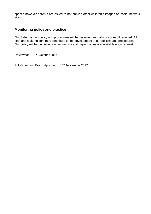spaces however parents are asked to not publish other children's images on social network sites.

# **Monitoring policy and practice**

Our Safeguarding policy and procedures will be reviewed annually or sooner if required. All staff and stakeholders may contribute to the development of our policies and procedures. Our policy will be published on our website and paper copies are available upon request.

Reviewed: 13<sup>th</sup> October 2017

Full Governing Board Approval: 17th November 2017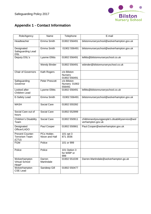

# **Appendix 1 - Contact Information**

| Role/Agency                                        | Name                          | Telephone                              | E-mail                                                              |
|----------------------------------------------------|-------------------------------|----------------------------------------|---------------------------------------------------------------------|
| Headteacher                                        | Emma Smith                    | 01902 556491                           | bilstonnurseryschool@wolverhampton.gov.uk                           |
| Designated<br>Safeguarding Lead<br><b>DSL</b>      | Emma Smith                    | 01902 556491                           | bilstonnurseryschool@wolverhampton.gov.uk                           |
| Deputy DSL's                                       | <b>Lyanne Ellitts</b>         | 01902 556491                           | lellitts@bilstonnurseryschool.co.uk                                 |
|                                                    | <b>Wendy Binder</b>           | 01902 556491                           | wbinder@bilstonnurseryschool.co.uk                                  |
| <b>Chair of Governors</b>                          | Kath Rogers                   | c/o Bilston<br>Nursery<br>01902 556491 |                                                                     |
| Safeguarding<br>Governor                           | Peter Prescott                | c/o Bilston<br>Nursery 01902<br>556491 |                                                                     |
| Looked after<br><b>Children Lead</b>               | <b>Lyanne Ellitts</b>         | 01902 556491                           | lellitts@bilstonnurseryschool.co.uk                                 |
| E-Safety Lead                                      | Emma Smith                    | 01902 556491                           | bilstonnurseryschool@wolverhampton.gov.uk                           |
| <b>MASH</b>                                        | Social Care                   | 01902 555392                           |                                                                     |
| Social Care out of<br>hours                        | Social Care                   | 01902 552999                           |                                                                     |
| Children's Disability<br>Team                      | Social Care                   | 01902 550911                           | childrenandyoungpeople's.disabilityservice@wol<br>verhampton.gov.uk |
| Designated<br>Officer/LADO                         | Paul Cooper                   | 01902 550661                           | Paul.Cooper@wolverhampton.gov.uk                                    |
| Prevent Counter-<br><b>Terrorism Team</b><br>(CTU) | PCs Holder,<br>Nixon and Hall | 101 opt 3<br>871 3036                  |                                                                     |
| <b>FGM</b>                                         | Police                        | 101 or 999                             |                                                                     |
| Police                                             | Police                        | 101 Option 3<br>for WMP or<br>999      |                                                                     |
| Wolverhampton<br><b>Virtual School</b><br>Head*    | Darren<br>Martindale          | 01902 551039                           | Darren.Martindale@wolverhampton.go.uk                               |
| Wolverhampton<br><b>CSE Lead</b>                   | Sandeep Gill                  | 01902 550477                           |                                                                     |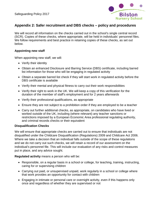

# **Appendix 2: Safer recruitment and DBS checks – policy and procedures**

We will record all information on the checks carried out in the school's single central record (SCR). Copies of these checks, where appropriate, will be held in individuals' personnel files. We follow requirements and best practice in retaining copies of these checks, as set out below.

## **Appointing new staff**

When appointing new staff, we will:

- Verify their identity
- Obtain an enhanced Disclosure and Barring Service (DBS) certificate, including barred list information for those who will be engaging in regulated activity
- Obtain a separate barred list check if they will start work in regulated activity before the DBS certificate is available
- Verify their mental and physical fitness to carry out their work responsibilities
- Verify their right to work in the UK. We will keep a copy of this verification for the duration of the member of staff's employment and for 2 years afterwards
- Verify their professional qualifications, as appropriate
- Ensure they are not subject to a prohibition order if they are employed to be a teacher
- Carry out further additional checks, as appropriate, on candidates who have lived or worked outside of the UK, including (where relevant) any teacher sanctions or restrictions imposed by a European Economic Area professional regulating authority, and criminal records checks or their equivalent

#### **Disqualification Checks**

We will ensure that appropriate checks are carried out to ensure that individuals are not disqualified under the Childcare Disqualification (Regulations) 2009 and Childcare Act 2006. Where we take a decision that an individual falls outside of the scope of these regulations and we do not carry out such checks, we will retain a record of our assessment on the individual's personnel file. This will include our evaluation of any risks and control measures put in place, and any advice sought.

**Regulated activity** means a person who will be:

- Responsible, on a regular basis in a school or college, for teaching, training, instructing, caring for or supervising children
- Carrying out paid, or unsupervised unpaid, work regularly in a school or college where that work provides an opportunity for contact with children
- Engaging in intimate or personal care or overnight activity, even if this happens only once and regardless of whether they are supervised or not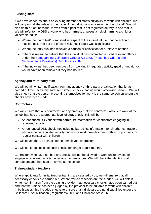# **Existing staff**

If we have concerns about an existing member of staff's suitability to work with children, we will carry out all the relevant checks as if the individual was a new member of staff. We will also do this if an individual moves from a post that is not regulated activity to one that is. We will refer to the DBS anyone who has harmed, or poses a risk of harm, to a child or vulnerable adult:

- Where the 'harm test' is satisfied in respect of the individual (i.e. that no action or inaction occurred but the present risk that it could was significant)
- Where the individual has received a caution or conviction for a relevant offence
- If there is reason to believe that the individual has committed a listed relevant offence, under the [Safeguarding Vulnerable Groups Act 2006 \(Prescribed Criteria and](http://www.legislation.gov.uk/uksi/2009/37/contents/made)  [Miscellaneous Provisions\) Regulations 2009](http://www.legislation.gov.uk/uksi/2009/37/contents/made)
- If the individual has been removed from working in regulated activity (paid or unpaid) or would have been removed if they had not left

## **Agency and third-party staff**

We will obtain written notification from any agency or third-party organisation that it has carried out the necessary safer recruitment checks that we would otherwise perform. We will also check that the person presenting themselves for work is the same person on whom the checks have been made.

## **Contractors**

We will ensure that any contractor, or any employee of the contractor, who is to work at the school has had the appropriate level of DBS check. This will be:

- An enhanced DBS check with barred list information for contractors engaging in regulated activity
- An enhanced DBS check, not including barred list information, for all other contractors who are not in regulated activity but whose work provides them with an opportunity for regular contact with children

We will obtain the DBS check for self-employed contractors.

We will not keep copies of such checks for longer than 6 months.

Contractors who have not had any checks will not be allowed to work unsupervised or engage in regulated activity under any circumstances. We will check the identity of all contractors and their staff on arrival at the school.

#### **Trainee/student teachers**

Where applicants for initial teacher training are salaried by us, we will ensure that all necessary checks are carried out. Where trainee teachers are fee-funded, we will obtain written confirmation from the training provider that necessary checks have been carried out and that the trainee has been judged by the provider to be suitable to work with children. In both cases, this includes checks to ensure that individuals are not disqualified under the Childcare Disqualification (Regulations) 2009 and Childcare Act 2006.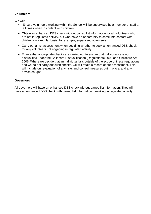# **Volunteers**

We will:

- Ensure volunteers working within the School will be supervised by a member of staff at all times when in contact with children
- Obtain an enhanced DBS check without barred list information for all volunteers who are not in regulated activity, but who have an opportunity to come into contact with children on a regular basis, for example, supervised volunteers
- Carry out a risk assessment when deciding whether to seek an enhanced DBS check for any volunteers not engaging in regulated activity
- Ensure that appropriate checks are carried out to ensure that individuals are not disqualified under the Childcare Disqualification (Regulations) 2009 and Childcare Act 2006. Where we decide that an individual falls outside of the scope of these regulations and we do not carry out such checks, we will retain a record of our assessment. This will include our evaluation of any risks and control measures put in place, and any advice sought

## **Governors**

All governors will have an enhanced DBS check without barred list information. They will have an enhanced DBS check with barred list information if working in regulated activity.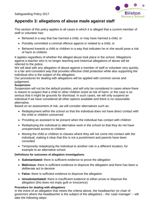

# **Appendix 3: allegations of abuse made against staff**

This section of this policy applies to all cases in which it is alleged that a current member of staff or volunteer has:

- Behaved in a way that has harmed a child, or may have harmed a child, or
- Possibly committed a criminal offence against or related to a child, or
- Behaved towards a child or children in a way that indicates he or she would pose a risk of harm to children

It applies regardless of whether the alleged abuse took place in the school. Allegations against a teacher who is no longer teaching and historical allegations of abuse will be referred to the police.

We will deal with any allegation of abuse against a member of staff or volunteer very quickly, in a fair and consistent way that provides effective child protection while also supporting the individual who is the subject of the allegation.

Our procedures for dealing with allegations will be applied with common sense and judgement.

## **Suspension**

Suspension will not be the default position, and will only be considered in cases where there is reason to suspect that a child or other children is/are at risk of harm, or the case is so serious that it might be grounds for dismissal. In such cases, we will only suspend an individual if we have considered all other options available and there is no reasonable alternative.

Based on an assessment of risk, we will consider alternatives such as:

- Redeployment within the school so that the individual does not have direct contact with the child or children concerned
- Providing an assistant to be present when the individual has contact with children
- Redeploying the individual to alternative work in the school so that they do not have unsupervised access to children
- Moving the child or children to classes where they will not come into contact with the individual, making it clear that this is not a punishment and parents have been consulted
- Temporarily redeploying the individual to another role in a different location, for example to an alternative school

# **Definitions for outcomes of allegation investigations**

- **Substantiated:** there is sufficient evidence to prove the allegation
- **Malicious:** there is sufficient evidence to disprove the allegation and there has been a deliberate act to deceive
- **False:** there is sufficient evidence to disprove the allegation
- **Unsubstantiated:** there is insufficient evidence to either prove or disprove the allegation (this does not imply guilt or innocence)

# **Procedure for dealing with allegations**

In the event of an allegation that meets the criteria above, the headteacher (or chair of governors where the headteacher is the subject of the allegation) – the 'case manager' – will take the following steps: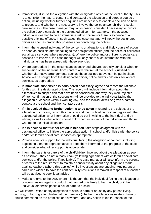- Immediately discuss the allegation with the designated officer at the local authority. This is to consider the nature, content and context of the allegation and agree a course of action, including whether further enquiries are necessary to enable a decision on how to proceed, and whether it is necessary to involve the police and/or children's social care services. (The case manager may, on occasion, consider it necessary to involve the police *before* consulting the designated officer – for example, if the accused individual is deemed to be an immediate risk to children or there is evidence of a possible criminal offence. In such cases, the case manager will notify the designated officer as soon as practicably possible after contacting the police)
- Inform the accused individual of the concerns or allegations and likely course of action as soon as possible after speaking to the designated officer (and the police or children's social care services, where necessary). Where the police and/or children's social care services are involved, the case manager will only share such information with the individual as has been agreed with those agencies
- Where appropriate (in the circumstances described above), carefully consider whether suspension of the individual from contact with children at the school is justified or whether alternative arrangements such as those outlined above can be put in place. Advice will be sought from the designated officer, police and/or children's social care services, as appropriate
- **If immediate suspension is considered necessary**, agree and record the rationale for this with the designated officer. The record will include information about the alternatives to suspension that have been considered, and why they were rejected. Written confirmation of the suspension will be provided to the individual facing the allegation or concern within 1 working day, and the individual will be given a named contact at the school and their contact details
- **If it is decided that no further action is to be taken** in regard to the subject of the allegation or concern, record this decision and the justification for it and agree with the designated officer what information should be put in writing to the individual and by whom, as well as what action should follow both in respect of the individual and those who made the initial allegation
- **If it is decided that further action is needed**, take steps as agreed with the designated officer to initiate the appropriate action in school and/or liaise with the police and/or children's social care services as appropriate
- Provide effective support for the individual facing the allegation or concern, including appointing a named representative to keep them informed of the progress of the case and consider what other support is appropriate.
- Inform the parents or carers of the child/children involved about the allegation as soon as possible if they do not already know (following agreement with children's social care services and/or the police, if applicable). The case manager will also inform the parents or carers of the requirement to maintain confidentiality about any allegations made against teachers (where this applies) while investigations are ongoing. Any parent or carer who wishes to have the confidentiality restrictions removed in respect of a teacher will be advised to seek legal advice
- Make a referral to the DBS where it is thought that the individual facing the allegation or concern has engaged in conduct that harmed or is likely to harm a child, or if the individual otherwise poses a risk of harm to a child

We will inform Ofsted of any allegations of serious harm or abuse by any person living, working, or looking after children at the premises (whether the allegations relate to harm or abuse committed on the premises or elsewhere), and any action taken in respect of the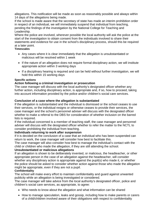allegations. This notification will be made as soon as reasonably possible and always within 14 days of the allegations being made.

If the school is made aware that the secretary of state has made an interim prohibition order in respect of an individual, we will immediately suspend that individual from teaching, pending the findings of the investigation by the National College for Teaching and Leadership.

Where the police are involved, wherever possible the local authority will ask the police at the start of the investigation to obtain consent from the individuals involved to share their statements and evidence for use in the school's disciplinary process, should this be required at a later point.

## **Timescales**

- Any cases where it is clear immediately that the allegation is unsubstantiated or malicious will be resolved within 1 week
- If the nature of an allegation does not require formal disciplinary action, we will institute appropriate action within 3 working days
- If a disciplinary hearing is required and can be held without further investigation, we will hold this within 15 working days

# **Specific actions**

# **Action following a criminal investigation or prosecution**

The case manager will discuss with the local authority's designated officer whether any further action, including disciplinary action, is appropriate and, if so, how to proceed, taking into account information provided by the police and/or children's social care services.

# **Conclusion of a case where the allegation is substantiated**

If the allegation is substantiated and the individual is dismissed or the school ceases to use their services, or the individual resigns or otherwise ceases to provide their services, the case manager and the school's personnel adviser will discuss with the designated officer whether to make a referral to the DBS for consideration of whether inclusion on the barred lists is required.

If the individual concerned is a member of teaching staff, the case manager and personnel adviser will discuss with the designated officer whether to refer the matter to the NCTL to consider prohibiting the individual from teaching.

# **Individuals returning to work after suspension**

If it is decided on the conclusion of a case that an individual who has been suspended can return to work, the case manager will consider how best to facilitate this.

The case manager will also consider how best to manage the individual's contact with the child or children who made the allegation, if they are still attending the school.

# **Unsubstantiated or malicious allegations**

If an allegation is shown to be deliberately invented, or malicious, the headteacher, or other appropriate person in the case of an allegation against the headteacher, will consider whether any disciplinary action is appropriate against the pupil(s) who made it, or whether the police should be asked to consider whether action against those who made the allegation might be appropriate, even if they are not a pupil.

# **Confidentiality**

The school will make every effort to maintain confidentiality and guard against unwanted publicity while an allegation is being investigated or considered.

The case manager will take advice from the local authority's designated officer, police and children's social care services, as appropriate, to agree:

- Who needs to know about the allegation and what information can be shared
- How to manage speculation, leaks and gossip, including how to make parents or carers of a child/children involved aware of their obligations with respect to confidentiality